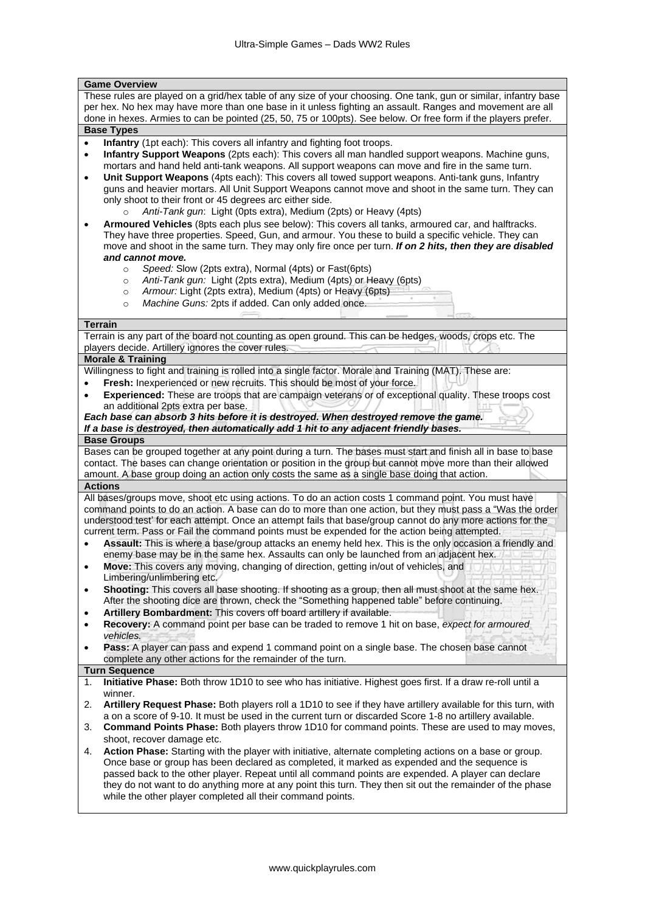| <b>Game Overview</b>                                                                                                                                                                                                            |  |  |  |
|---------------------------------------------------------------------------------------------------------------------------------------------------------------------------------------------------------------------------------|--|--|--|
| These rules are played on a grid/hex table of any size of your choosing. One tank, gun or similar, infantry base                                                                                                                |  |  |  |
| per hex. No hex may have more than one base in it unless fighting an assault. Ranges and movement are all                                                                                                                       |  |  |  |
| done in hexes. Armies to can be pointed (25, 50, 75 or 100pts). See below. Or free form if the players prefer.                                                                                                                  |  |  |  |
| <b>Base Types</b>                                                                                                                                                                                                               |  |  |  |
| Infantry (1pt each): This covers all infantry and fighting foot troops.<br>$\bullet$<br>Infantry Support Weapons (2pts each): This covers all man handled support weapons. Machine guns,                                        |  |  |  |
| $\bullet$<br>mortars and hand held anti-tank weapons. All support weapons can move and fire in the same turn.                                                                                                                   |  |  |  |
| Unit Support Weapons (4pts each): This covers all towed support weapons. Anti-tank guns, Infantry<br>$\bullet$                                                                                                                  |  |  |  |
| guns and heavier mortars. All Unit Support Weapons cannot move and shoot in the same turn. They can                                                                                                                             |  |  |  |
| only shoot to their front or 45 degrees arc either side.                                                                                                                                                                        |  |  |  |
| Anti-Tank gun: Light (Opts extra), Medium (2pts) or Heavy (4pts)<br>$\circ$                                                                                                                                                     |  |  |  |
| Armoured Vehicles (8pts each plus see below): This covers all tanks, armoured car, and halftracks.<br>٠                                                                                                                         |  |  |  |
| They have three properties. Speed, Gun, and armour. You these to build a specific vehicle. They can                                                                                                                             |  |  |  |
| move and shoot in the same turn. They may only fire once per turn. If on 2 hits, then they are disabled                                                                                                                         |  |  |  |
| and cannot move.                                                                                                                                                                                                                |  |  |  |
| Speed: Slow (2pts extra), Normal (4pts) or Fast(6pts)<br>$\circ$<br>Anti-Tank gun: Light (2pts extra), Medium (4pts) or Heavy (6pts)                                                                                            |  |  |  |
| $\circ$<br>Armour: Light (2pts extra), Medium (4pts) or Heavy (6pts)<br>$\circ$                                                                                                                                                 |  |  |  |
| Machine Guns: 2pts if added. Can only added once.<br>$\circ$                                                                                                                                                                    |  |  |  |
|                                                                                                                                                                                                                                 |  |  |  |
| <b>Terrain</b>                                                                                                                                                                                                                  |  |  |  |
| Terrain is any part of the board not counting as open ground. This can be hedges, woods, crops etc. The                                                                                                                         |  |  |  |
| players decide. Artillery ignores the cover rules.                                                                                                                                                                              |  |  |  |
| <b>Morale &amp; Training</b>                                                                                                                                                                                                    |  |  |  |
| Willingness to fight and training is rolled into a single factor. Morale and Training (MAT). These are:<br>Fresh: Inexperienced or new recruits. This should be most of your force.                                             |  |  |  |
| Experienced: These are troops that are campaign veterans or of exceptional quality. These troops cost<br>٠                                                                                                                      |  |  |  |
| an additional 2pts extra per base.                                                                                                                                                                                              |  |  |  |
| Each base can absorb 3 hits before it is destroyed. When destroyed remove the game.                                                                                                                                             |  |  |  |
| If a base is destroyed, then automatically add 1 hit to any adjacent friendly bases.                                                                                                                                            |  |  |  |
| <b>Base Groups</b>                                                                                                                                                                                                              |  |  |  |
| Bases can be grouped together at any point during a turn. The bases must start and finish all in base to base                                                                                                                   |  |  |  |
| contact. The bases can change orientation or position in the group but cannot move more than their allowed                                                                                                                      |  |  |  |
| amount. A base group doing an action only costs the same as a single base doing that action.                                                                                                                                    |  |  |  |
| <b>Actions</b><br>All bases/groups move, shoot etc using actions. To do an action costs 1 command point. You must have                                                                                                          |  |  |  |
| command points to do an action. A base can do to more than one action, but they must pass a "Was the order                                                                                                                      |  |  |  |
| understood test' for each attempt. Once an attempt fails that base/group cannot do any more actions for the                                                                                                                     |  |  |  |
| current term. Pass or Fail the command points must be expended for the action being attempted.                                                                                                                                  |  |  |  |
| Assault: This is where a base/group attacks an enemy held hex. This is the only occasion a friendly and                                                                                                                         |  |  |  |
| enemy base may be in the same hex. Assaults can only be launched from an adjacent hex.                                                                                                                                          |  |  |  |
| Move: This covers any moving, changing of direction, getting in/out of vehicles, and<br>$\bullet$                                                                                                                               |  |  |  |
| Limbering/unlimbering etc.                                                                                                                                                                                                      |  |  |  |
| Shooting: This covers all base shooting. If shooting as a group, then all must shoot at the same hex.<br>$\bullet$                                                                                                              |  |  |  |
| After the shooting dice are thrown, check the "Something happened table" before continuing.<br>Artillery Bombardment: This covers off board artillery if available.<br>$\bullet$                                                |  |  |  |
| Recovery: A command point per base can be traded to remove 1 hit on base, expect for armoured<br>٠                                                                                                                              |  |  |  |
| vehicles.                                                                                                                                                                                                                       |  |  |  |
| Pass: A player can pass and expend 1 command point on a single base. The chosen base cannot<br>٠                                                                                                                                |  |  |  |
| complete any other actions for the remainder of the turn.                                                                                                                                                                       |  |  |  |
| <b>Turn Sequence</b>                                                                                                                                                                                                            |  |  |  |
| Initiative Phase: Both throw 1D10 to see who has initiative. Highest goes first. If a draw re-roll until a<br>1.                                                                                                                |  |  |  |
| winner.                                                                                                                                                                                                                         |  |  |  |
| 2.<br>Artillery Request Phase: Both players roll a 1D10 to see if they have artillery available for this turn, with<br>a on a score of 9-10. It must be used in the current turn or discarded Score 1-8 no artillery available. |  |  |  |
| <b>Command Points Phase:</b> Both players throw 1D10 for command points. These are used to may moves,<br>3.                                                                                                                     |  |  |  |
| shoot, recover damage etc.                                                                                                                                                                                                      |  |  |  |
| Action Phase: Starting with the player with initiative, alternate completing actions on a base or group.<br>4.                                                                                                                  |  |  |  |
| Once base or group has been declared as completed, it marked as expended and the sequence is                                                                                                                                    |  |  |  |
| passed back to the other player. Repeat until all command points are expended. A player can declare                                                                                                                             |  |  |  |
| they do not want to do anything more at any point this turn. They then sit out the remainder of the phase                                                                                                                       |  |  |  |
| while the other player completed all their command points.                                                                                                                                                                      |  |  |  |
|                                                                                                                                                                                                                                 |  |  |  |